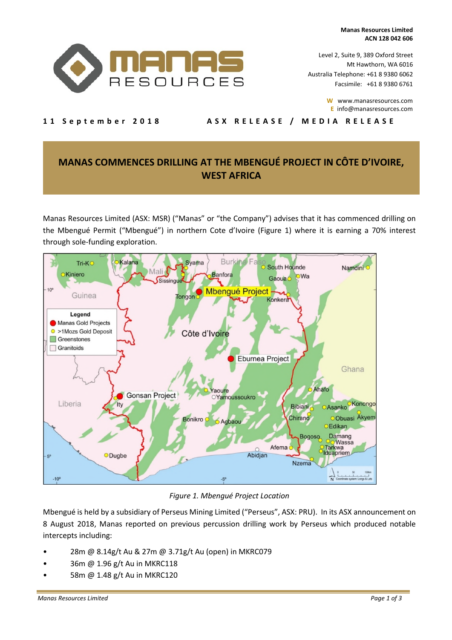**Manas Resources Limited ACN 128 042 606** 



Level 2, Suite 9, 389 Oxford Street Mt Hawthorn, WA 6016 Australia Telephone: +61 8 9380 6062 Facsimile: +61 8 9380 6761

> **W** www.manasresources.com **E** info@manasresources.com

11 September 2018 ASX RELEASE / MEDIA RELEASE

# **MANAS COMMENCES DRILLING AT THE MBENGUÉ PROJECT IN CÔTE D'IVOIRE, WEST AFRICA**

Manas Resources Limited (ASX: MSR) ("Manas" or "the Company") advises that it has commenced drilling on the Mbengué Permit ("Mbengué") in northern Cote d'Ivoire (Figure 1) where it is earning a 70% interest through sole-funding exploration.



*Figure 1. Mbengué Project Location* 

Mbengué is held by a subsidiary of Perseus Mining Limited ("Perseus", ASX: PRU). In its ASX announcement on 8 August 2018, Manas reported on previous percussion drilling work by Perseus which produced notable intercepts including:

- 28m @ 8.14g/t Au & 27m @ 3.71g/t Au (open) in MKRC079
- 36m @ 1.96 g/t Au in MKRC118
- 58m @ 1.48 g/t Au in MKRC120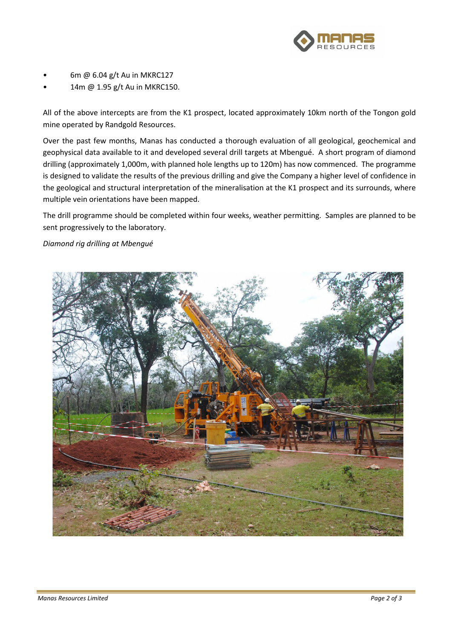

- 6m @ 6.04 g/t Au in MKRC127
- 14m @ 1.95 g/t Au in MKRC150.

All of the above intercepts are from the K1 prospect, located approximately 10km north of the Tongon gold mine operated by Randgold Resources.

Over the past few months, Manas has conducted a thorough evaluation of all geological, geochemical and geophysical data available to it and developed several drill targets at Mbengué. A short program of diamond drilling (approximately 1,000m, with planned hole lengths up to 120m) has now commenced. The programme is designed to validate the results of the previous drilling and give the Company a higher level of confidence in the geological and structural interpretation of the mineralisation at the K1 prospect and its surrounds, where multiple vein orientations have been mapped.

The drill programme should be completed within four weeks, weather permitting. Samples are planned to be sent progressively to the laboratory.

### *Diamond rig drilling at Mbengué*